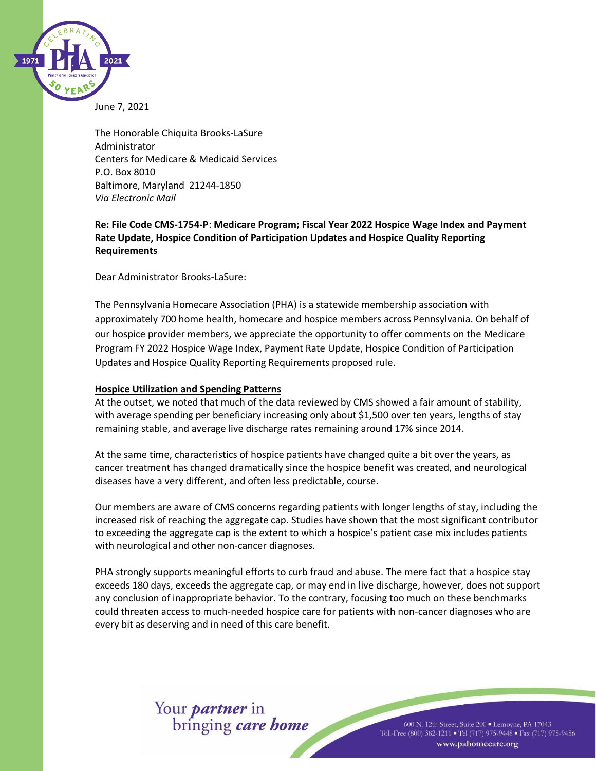

June 7, 2021

The Honorable Chiquita Brooks-LaSure Administrator Centers for Medicare & Medicaid Services P.O. Box 8010 Baltimore, Maryland 21244-1850 *Via Electronic Mail*

**Re: File Code CMS-1754-P**: **Medicare Program; Fiscal Year 2022 Hospice Wage Index and Payment Rate Update, Hospice Condition of Participation Updates and Hospice Quality Reporting Requirements**

Dear Administrator Brooks-LaSure:

The Pennsylvania Homecare Association (PHA) is a statewide membership association with approximately 700 home health, homecare and hospice members across Pennsylvania. On behalf of our hospice provider members, we appreciate the opportunity to offer comments on the Medicare Program FY 2022 Hospice Wage Index, Payment Rate Update, Hospice Condition of Participation Updates and Hospice Quality Reporting Requirements proposed rule.

### **Hospice Utilization and Spending Patterns**

At the outset, we noted that much of the data reviewed by CMS showed a fair amount of stability, with average spending per beneficiary increasing only about \$1,500 over ten years, lengths of stay remaining stable, and average live discharge rates remaining around 17% since 2014.

At the same time, characteristics of hospice patients have changed quite a bit over the years, as cancer treatment has changed dramatically since the hospice benefit was created, and neurological diseases have a very different, and often less predictable, course.

Our members are aware of CMS concerns regarding patients with longer lengths of stay, including the increased risk of reaching the aggregate cap. Studies have shown that the most significant contributor to exceeding the aggregate cap is the extent to which a hospice's patient case mix includes patients with neurological and other non-cancer diagnoses.

PHA strongly supports meaningful efforts to curb fraud and abuse. The mere fact that a hospice stay exceeds 180 days, exceeds the aggregate cap, or may end in live discharge, however, does not support any conclusion of inappropriate behavior. To the contrary, focusing too much on these benchmarks could threaten access to much-needed hospice care for patients with non-cancer diagnoses who are every bit as deserving and in need of this care benefit.

Your *partner* in<br>bringing *care home* 

600 N. 12th Street, Suite 200 · Lemoyne, PA 17043 Toll-Free (800) 382-1211 • Tel (717) 975-9448 • Fax (717) 975-9456 www.pahomecare.org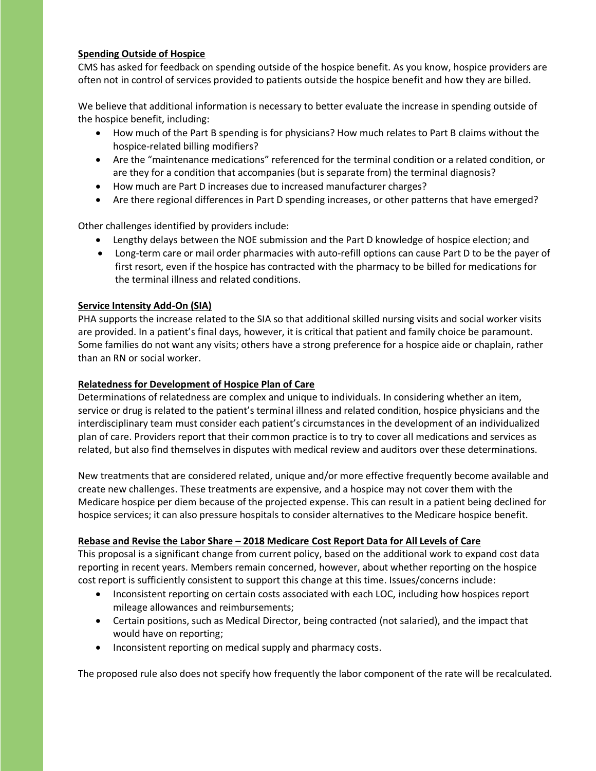### **Spending Outside of Hospice**

CMS has asked for feedback on spending outside of the hospice benefit. As you know, hospice providers are often not in control of services provided to patients outside the hospice benefit and how they are billed.

We believe that additional information is necessary to better evaluate the increase in spending outside of the hospice benefit, including:

- How much of the Part B spending is for physicians? How much relates to Part B claims without the hospice-related billing modifiers?
- Are the "maintenance medications" referenced for the terminal condition or a related condition, or are they for a condition that accompanies (but is separate from) the terminal diagnosis?
- How much are Part D increases due to increased manufacturer charges?
- Are there regional differences in Part D spending increases, or other patterns that have emerged?

Other challenges identified by providers include:

- Lengthy delays between the NOE submission and the Part D knowledge of hospice election; and
- Long-term care or mail order pharmacies with auto-refill options can cause Part D to be the payer of first resort, even if the hospice has contracted with the pharmacy to be billed for medications for the terminal illness and related conditions.

# **Service Intensity Add-On (SIA)**

PHA supports the increase related to the SIA so that additional skilled nursing visits and social worker visits are provided. In a patient's final days, however, it is critical that patient and family choice be paramount. Some families do not want any visits; others have a strong preference for a hospice aide or chaplain, rather than an RN or social worker.

### **Relatedness for Development of Hospice Plan of Care**

Determinations of relatedness are complex and unique to individuals. In considering whether an item, service or drug is related to the patient's terminal illness and related condition, hospice physicians and the interdisciplinary team must consider each patient's circumstances in the development of an individualized plan of care. Providers report that their common practice is to try to cover all medications and services as related, but also find themselves in disputes with medical review and auditors over these determinations.

New treatments that are considered related, unique and/or more effective frequently become available and create new challenges. These treatments are expensive, and a hospice may not cover them with the Medicare hospice per diem because of the projected expense. This can result in a patient being declined for hospice services; it can also pressure hospitals to consider alternatives to the Medicare hospice benefit.

### **Rebase and Revise the Labor Share – 2018 Medicare Cost Report Data for All Levels of Care**

This proposal is a significant change from current policy, based on the additional work to expand cost data reporting in recent years. Members remain concerned, however, about whether reporting on the hospice cost report is sufficiently consistent to support this change at this time. Issues/concerns include:

- Inconsistent reporting on certain costs associated with each LOC, including how hospices report mileage allowances and reimbursements;
- Certain positions, such as Medical Director, being contracted (not salaried), and the impact that would have on reporting;
- Inconsistent reporting on medical supply and pharmacy costs.

The proposed rule also does not specify how frequently the labor component of the rate will be recalculated.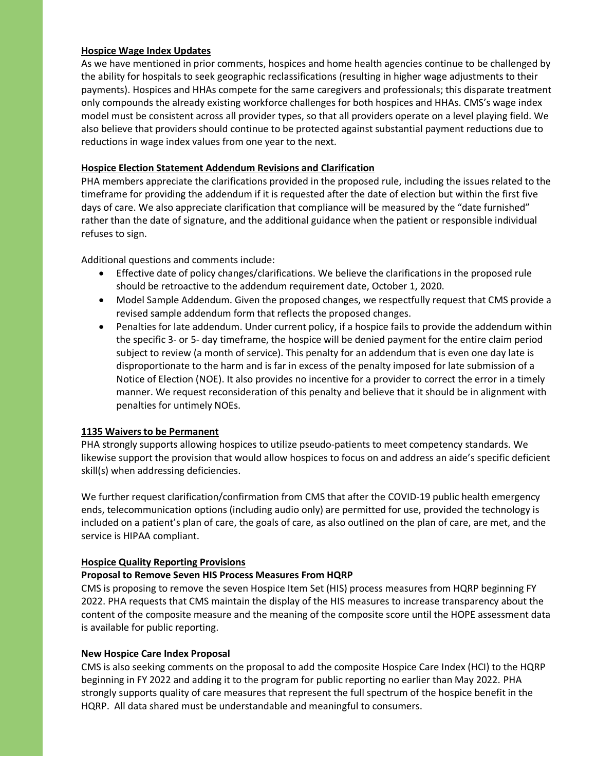### **Hospice Wage Index Updates**

As we have mentioned in prior comments, hospices and home health agencies continue to be challenged by the ability for hospitals to seek geographic reclassifications (resulting in higher wage adjustments to their payments). Hospices and HHAs compete for the same caregivers and professionals; this disparate treatment only compounds the already existing workforce challenges for both hospices and HHAs. CMS's wage index model must be consistent across all provider types, so that all providers operate on a level playing field. We also believe that providers should continue to be protected against substantial payment reductions due to reductions in wage index values from one year to the next.

## **Hospice Election Statement Addendum Revisions and Clarification**

PHA members appreciate the clarifications provided in the proposed rule, including the issues related to the timeframe for providing the addendum if it is requested after the date of election but within the first five days of care. We also appreciate clarification that compliance will be measured by the "date furnished" rather than the date of signature, and the additional guidance when the patient or responsible individual refuses to sign.

Additional questions and comments include:

- Effective date of policy changes/clarifications. We believe the clarifications in the proposed rule should be retroactive to the addendum requirement date, October 1, 2020.
- Model Sample Addendum. Given the proposed changes, we respectfully request that CMS provide a revised sample addendum form that reflects the proposed changes.
- Penalties for late addendum. Under current policy, if a hospice fails to provide the addendum within the specific 3- or 5- day timeframe, the hospice will be denied payment for the entire claim period subject to review (a month of service). This penalty for an addendum that is even one day late is disproportionate to the harm and is far in excess of the penalty imposed for late submission of a Notice of Election (NOE). It also provides no incentive for a provider to correct the error in a timely manner. We request reconsideration of this penalty and believe that it should be in alignment with penalties for untimely NOEs.

### **1135 Waivers to be Permanent**

PHA strongly supports allowing hospices to utilize pseudo-patients to meet competency standards. We likewise support the provision that would allow hospices to focus on and address an aide's specific deficient skill(s) when addressing deficiencies.

We further request clarification/confirmation from CMS that after the COVID-19 public health emergency ends, telecommunication options (including audio only) are permitted for use, provided the technology is included on a patient's plan of care, the goals of care, as also outlined on the plan of care, are met, and the service is HIPAA compliant.

# **Hospice Quality Reporting Provisions**

# **Proposal to Remove Seven HIS Process Measures From HQRP**

CMS is proposing to remove the seven Hospice Item Set (HIS) process measures from HQRP beginning FY 2022. PHA requests that CMS maintain the display of the HIS measures to increase transparency about the content of the composite measure and the meaning of the composite score until the HOPE assessment data is available for public reporting.

### **New Hospice Care Index Proposal**

CMS is also seeking comments on the proposal to add the composite Hospice Care Index (HCI) to the HQRP beginning in FY 2022 and adding it to the program for public reporting no earlier than May 2022. PHA strongly supports quality of care measures that represent the full spectrum of the hospice benefit in the HQRP. All data shared must be understandable and meaningful to consumers.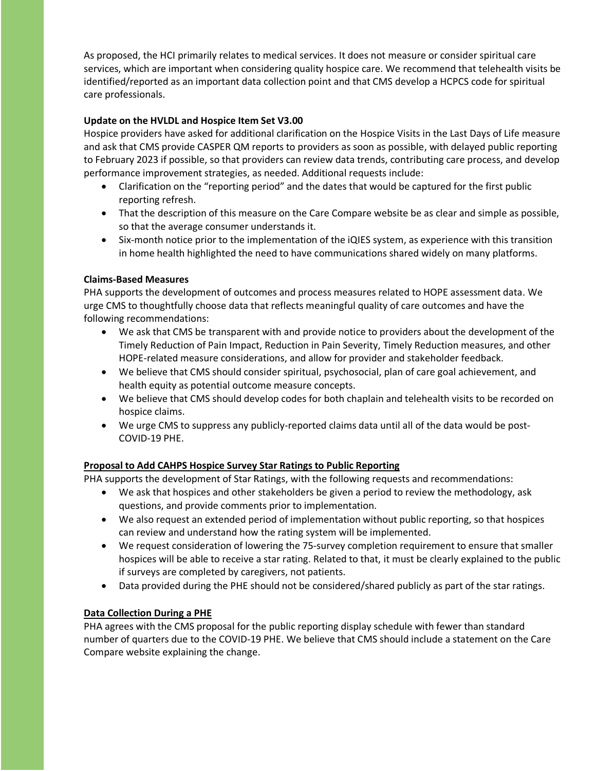As proposed, the HCI primarily relates to medical services. It does not measure or consider spiritual care services, which are important when considering quality hospice care. We recommend that telehealth visits be identified/reported as an important data collection point and that CMS develop a HCPCS code for spiritual care professionals.

## **Update on the HVLDL and Hospice Item Set V3.00**

Hospice providers have asked for additional clarification on the Hospice Visits in the Last Days of Life measure and ask that CMS provide CASPER QM reports to providers as soon as possible, with delayed public reporting to February 2023 if possible, so that providers can review data trends, contributing care process, and develop performance improvement strategies, as needed. Additional requests include:

- Clarification on the "reporting period" and the dates that would be captured for the first public reporting refresh.
- That the description of this measure on the Care Compare website be as clear and simple as possible, so that the average consumer understands it.
- Six-month notice prior to the implementation of the iQIES system, as experience with this transition in home health highlighted the need to have communications shared widely on many platforms.

### **Claims-Based Measures**

PHA supports the development of outcomes and process measures related to HOPE assessment data. We urge CMS to thoughtfully choose data that reflects meaningful quality of care outcomes and have the following recommendations:

- We ask that CMS be transparent with and provide notice to providers about the development of the Timely Reduction of Pain Impact, Reduction in Pain Severity, Timely Reduction measures, and other HOPE-related measure considerations, and allow for provider and stakeholder feedback.
- We believe that CMS should consider spiritual, psychosocial, plan of care goal achievement, and health equity as potential outcome measure concepts.
- We believe that CMS should develop codes for both chaplain and telehealth visits to be recorded on hospice claims.
- We urge CMS to suppress any publicly-reported claims data until all of the data would be post-COVID-19 PHE.

### **Proposal to Add CAHPS Hospice Survey Star Ratings to Public Reporting**

PHA supports the development of Star Ratings, with the following requests and recommendations:

- We ask that hospices and other stakeholders be given a period to review the methodology, ask questions, and provide comments prior to implementation.
- We also request an extended period of implementation without public reporting, so that hospices can review and understand how the rating system will be implemented.
- We request consideration of lowering the 75-survey completion requirement to ensure that smaller hospices will be able to receive a star rating. Related to that, it must be clearly explained to the public if surveys are completed by caregivers, not patients.
- Data provided during the PHE should not be considered/shared publicly as part of the star ratings.

### **Data Collection During a PHE**

PHA agrees with the CMS proposal for the public reporting display schedule with fewer than standard number of quarters due to the COVID-19 PHE. We believe that CMS should include a statement on the Care Compare website explaining the change.